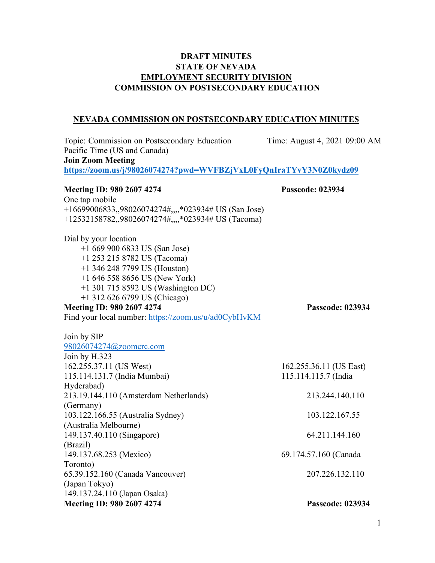# **DRAFT MINUTES STATE OF NEVADA EMPLOYMENT SECURITY DIVISION COMMISSION ON POSTSECONDARY EDUCATION**

# **NEVADA COMMISSION ON POSTSECONDARY EDUCATION MINUTES**

| Topic: Commission on Postsecondary Education                       | Time: August 4, 2021 09:00 AM |
|--------------------------------------------------------------------|-------------------------------|
| Pacific Time (US and Canada)                                       |                               |
| <b>Join Zoom Meeting</b>                                           |                               |
| https://zoom.us/j/98026074274?pwd=WVFBZjVxL0FyQnIraTYvY3N0Z0kydz09 |                               |
| Meeting ID: 980 2607 4274                                          | <b>Passcode: 023934</b>       |
| One tap mobile                                                     |                               |
| +16699006833,,98026074274#,,,,*023934# US (San Jose)               |                               |
| +12532158782,,98026074274#,,,,*023934# US (Tacoma)                 |                               |
| Dial by your location                                              |                               |
| $+16699006833$ US (San Jose)                                       |                               |
| $+1$ 253 215 8782 US (Tacoma)                                      |                               |
| $+1$ 346 248 7799 US (Houston)                                     |                               |
| $+16465588656$ US (New York)                                       |                               |
| +1 301 715 8592 US (Washington DC)                                 |                               |
| +1 312 626 6799 US (Chicago)                                       |                               |
| Meeting ID: 980 2607 4274                                          | <b>Passcode: 023934</b>       |
| Find your local number: https://zoom.us/u/ad0CybHvKM               |                               |
| Join by SIP                                                        |                               |
| 98026074274@zoomcrc.com                                            |                               |
| Join by H.323                                                      |                               |
| 162.255.37.11 (US West)                                            | 162.255.36.11 (US East)       |
| 115.114.131.7 (India Mumbai)                                       | 115.114.115.7 (India          |
| Hyderabad)                                                         |                               |
| 213.19.144.110 (Amsterdam Netherlands)                             | 213.244.140.110               |
| (Germany)                                                          |                               |
| 103.122.166.55 (Australia Sydney)                                  | 103.122.167.55                |
| (Australia Melbourne)                                              |                               |
| 149.137.40.110 (Singapore)                                         | 64.211.144.160                |
| (Brazil)                                                           |                               |
| 149.137.68.253 (Mexico)                                            | 69.174.57.160 (Canada         |
| Toronto)                                                           |                               |
| 65.39.152.160 (Canada Vancouver)                                   | 207.226.132.110               |
| (Japan Tokyo)                                                      |                               |
| 149.137.24.110 (Japan Osaka)                                       |                               |
| Meeting ID: 980 2607 4274                                          | Passcode: 023934              |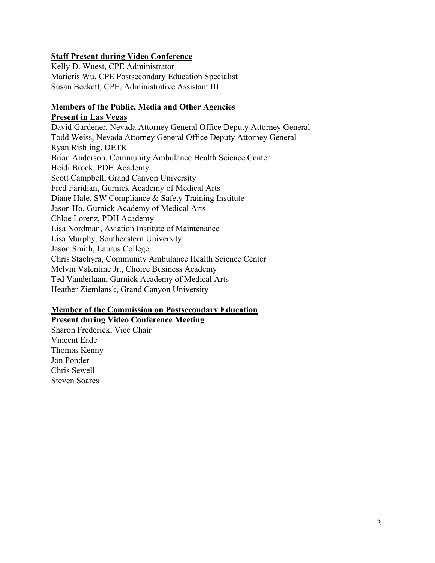## **Staff Present during Video Conference**

Kelly D. Wuest, CPE Administrator Maricris Wu, CPE Postsecondary Education Specialist Susan Beckett, CPE, Administrative Assistant III

#### **Members of the Public, Media and Other Agencies Present in Las Vegas**

David Gardener, Nevada Attorney General Office Deputy Attorney General Todd Weiss, Nevada Attorney General Office Deputy Attorney General Ryan Rishling, DETR Brian Anderson, Community Ambulance Health Science Center Heidi Brock, PDH Academy Scott Campbell, Grand Canyon University Fred Faridian, Gurnick Academy of Medical Arts Diane Hale, SW Compliance & Safety Training Institute Jason Ho, Gurnick Academy of Medical Arts Chloe Lorenz, PDH Academy Lisa Nordman, Aviation Institute of Maintenance Lisa Murphy, Southeastern University Jason Smith, Laurus College Chris Stachyra, Community Ambulance Health Science Center Melvin Valentine Jr., Choice Business Academy Ted Vanderlaan, Gurnick Academy of Medical Arts Heather Ziemlansk, Grand Canyon University

### **Member of the Commission on Postsecondary Education Present during Video Conference Meeting**

Sharon Frederick, Vice Chair Vincent Eade Thomas Kenny Jon Ponder Chris Sewell Steven Soares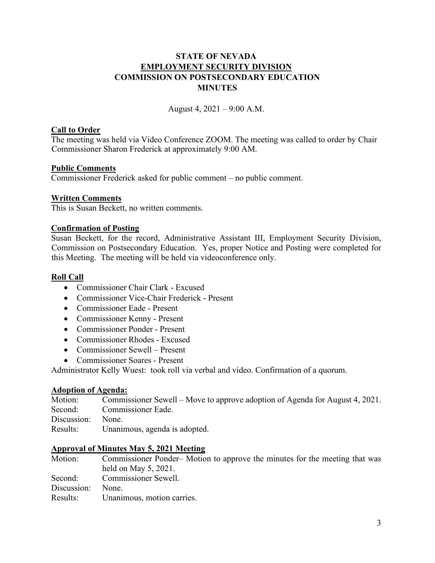## **STATE OF NEVADA EMPLOYMENT SECURITY DIVISION COMMISSION ON POSTSECONDARY EDUCATION MINUTES**

August 4, 2021 – 9:00 A.M.

#### **Call to Order**

The meeting was held via Video Conference ZOOM. The meeting was called to order by Chair Commissioner Sharon Frederick at approximately 9:00 AM.

### **Public Comments**

Commissioner Frederick asked for public comment – no public comment.

### **Written Comments**

This is Susan Beckett, no written comments.

#### **Confirmation of Posting**

Susan Beckett, for the record, Administrative Assistant III, Employment Security Division, Commission on Postsecondary Education. Yes, proper Notice and Posting were completed for this Meeting. The meeting will be held via videoconference only.

#### **Roll Call**

- Commissioner Chair Clark Excused
- Commissioner Vice-Chair Frederick Present
- Commissioner Eade Present
- Commissioner Kenny Present
- Commissioner Ponder Present
- Commissioner Rhodes Excused
- Commissioner Sewell Present
- Commissioner Soares Present

Administrator Kelly Wuest: took roll via verbal and video. Confirmation of a quorum.

#### **Adoption of Agenda:**

| Motion:     | Commissioner Sewell – Move to approve adoption of Agenda for August 4, 2021. |
|-------------|------------------------------------------------------------------------------|
| Second:     | Commissioner Eade.                                                           |
| Discussion: | None.                                                                        |
| Results:    | Unanimous, agenda is adopted.                                                |

# **Approval of Minutes May 5, 2021 Meeting**

Commissioner Ponder– Motion to approve the minutes for the meeting that was held on May 5, 2021. Second: Commissioner Sewell. Discussion: None. Results: Unanimous, motion carries.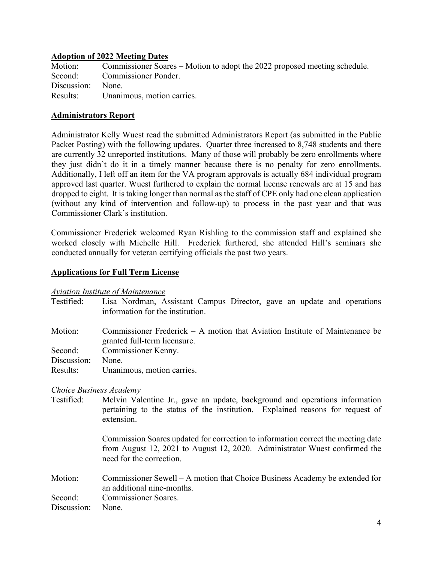#### **Adoption of 2022 Meeting Dates**

| Motion:           | Commissioner Soares – Motion to adopt the 2022 proposed meeting schedule. |
|-------------------|---------------------------------------------------------------------------|
|                   | Second: Commissioner Ponder.                                              |
| Discussion: None. |                                                                           |
|                   | Results: Unanimous, motion carries.                                       |

### **Administrators Report**

Administrator Kelly Wuest read the submitted Administrators Report (as submitted in the Public Packet Posting) with the following updates. Quarter three increased to 8,748 students and there are currently 32 unreported institutions. Many of those will probably be zero enrollments where they just didn't do it in a timely manner because there is no penalty for zero enrollments. Additionally, I left off an item for the VA program approvals is actually 684 individual program approved last quarter. Wuest furthered to explain the normal license renewals are at 15 and has dropped to eight. It is taking longer than normal as the staff of CPE only had one clean application (without any kind of intervention and follow-up) to process in the past year and that was Commissioner Clark's institution.

Commissioner Frederick welcomed Ryan Rishling to the commission staff and explained she worked closely with Michelle Hill. Frederick furthered, she attended Hill's seminars she conducted annually for veteran certifying officials the past two years.

### **Applications for Full Term License**

#### *Aviation Institute of Maintenance*

| Testified:                     | Lisa Nordman, Assistant Campus Director, gave an update and operations                                        |
|--------------------------------|---------------------------------------------------------------------------------------------------------------|
|                                | information for the institution.                                                                              |
| Motion:                        | Commissioner Frederick $-$ A motion that Aviation Institute of Maintenance be<br>granted full-term licensure. |
| Second:                        | Commissioner Kenny.                                                                                           |
| Discussion:                    | None.                                                                                                         |
| Results:                       | Unanimous, motion carries.                                                                                    |
| <b>Choice Business Academy</b> |                                                                                                               |

Testified: Melvin Valentine Jr., gave an update, background and operations information pertaining to the status of the institution. Explained reasons for request of extension.

> Commission Soares updated for correction to information correct the meeting date from August 12, 2021 to August 12, 2020. Administrator Wuest confirmed the need for the correction.

Motion: Commissioner Sewell – A motion that Choice Business Academy be extended for an additional nine-months. Second: Commissioner Soares. Discussion: None.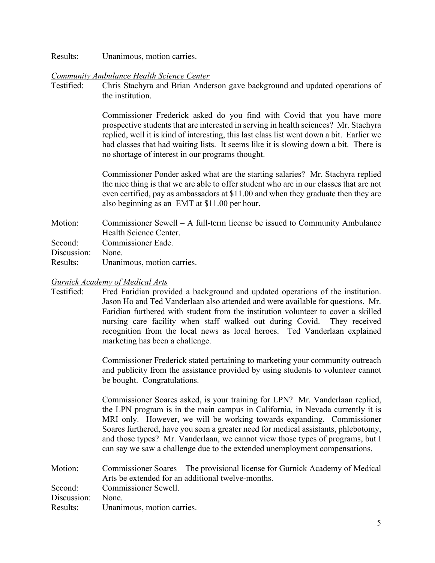Results: Unanimous, motion carries.

#### *Community Ambulance Health Science Center*

Testified: Chris Stachyra and Brian Anderson gave background and updated operations of the institution.

> Commissioner Frederick asked do you find with Covid that you have more prospective students that are interested in serving in health sciences? Mr. Stachyra replied, well it is kind of interesting, this last class list went down a bit. Earlier we had classes that had waiting lists. It seems like it is slowing down a bit. There is no shortage of interest in our programs thought.

> Commissioner Ponder asked what are the starting salaries? Mr. Stachyra replied the nice thing is that we are able to offer student who are in our classes that are not even certified, pay as ambassadors at \$11.00 and when they graduate then they are also beginning as an EMT at \$11.00 per hour.

Motion: Commissioner Sewell – A full-term license be issued to Community Ambulance Health Science Center. Second: Commissioner Eade. Discussion: None.

Results: Unanimous, motion carries.

#### *Gurnick Academy of Medical Arts*

Testified: Fred Faridian provided a background and updated operations of the institution. Jason Ho and Ted Vanderlaan also attended and were available for questions. Mr. Faridian furthered with student from the institution volunteer to cover a skilled nursing care facility when staff walked out during Covid. They received recognition from the local news as local heroes. Ted Vanderlaan explained marketing has been a challenge.

> Commissioner Frederick stated pertaining to marketing your community outreach and publicity from the assistance provided by using students to volunteer cannot be bought. Congratulations.

> Commissioner Soares asked, is your training for LPN? Mr. Vanderlaan replied, the LPN program is in the main campus in California, in Nevada currently it is MRI only. However, we will be working towards expanding. Commissioner Soares furthered, have you seen a greater need for medical assistants, phlebotomy, and those types? Mr. Vanderlaan, we cannot view those types of programs, but I can say we saw a challenge due to the extended unemployment compensations.

| Motion:     | Commissioner Soares – The provisional license for Gurnick Academy of Medical |
|-------------|------------------------------------------------------------------------------|
|             | Arts be extended for an additional twelve-months.                            |
| Second:     | Commissioner Sewell.                                                         |
| Discussion: | None.                                                                        |
|             | Results: Unanimous, motion carries.                                          |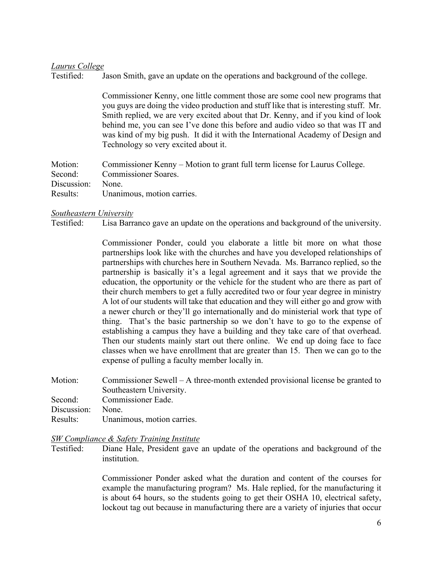#### *Laurus College*

Testified: Jason Smith, gave an update on the operations and background of the college.

Commissioner Kenny, one little comment those are some cool new programs that you guys are doing the video production and stuff like that is interesting stuff. Mr. Smith replied, we are very excited about that Dr. Kenny, and if you kind of look behind me, you can see I've done this before and audio video so that was IT and was kind of my big push. It did it with the International Academy of Design and Technology so very excited about it.

Motion: Commissioner Kenny – Motion to grant full term license for Laurus College. Second: Commissioner Soares. Discussion: None. Results: Unanimous, motion carries.

#### *Southeastern University*

Testified: Lisa Barranco gave an update on the operations and background of the university.

Commissioner Ponder, could you elaborate a little bit more on what those partnerships look like with the churches and have you developed relationships of partnerships with churches here in Southern Nevada. Ms. Barranco replied, so the partnership is basically it's a legal agreement and it says that we provide the education, the opportunity or the vehicle for the student who are there as part of their church members to get a fully accredited two or four year degree in ministry A lot of our students will take that education and they will either go and grow with a newer church or they'll go internationally and do ministerial work that type of thing. That's the basic partnership so we don't have to go to the expense of establishing a campus they have a building and they take care of that overhead. Then our students mainly start out there online. We end up doing face to face classes when we have enrollment that are greater than 15. Then we can go to the expense of pulling a faculty member locally in.

| Motion:     | Commissioner Sewell – A three-month extended provisional license be granted to |
|-------------|--------------------------------------------------------------------------------|
|             | Southeastern University.                                                       |
| Second:     | Commissioner Eade.                                                             |
| Discussion: | None.                                                                          |
| Results:    | Unanimous, motion carries.                                                     |

#### *SW Compliance & Safety Training Institute*

Testified: Diane Hale, President gave an update of the operations and background of the institution.

> Commissioner Ponder asked what the duration and content of the courses for example the manufacturing program? Ms. Hale replied, for the manufacturing it is about 64 hours, so the students going to get their OSHA 10, electrical safety, lockout tag out because in manufacturing there are a variety of injuries that occur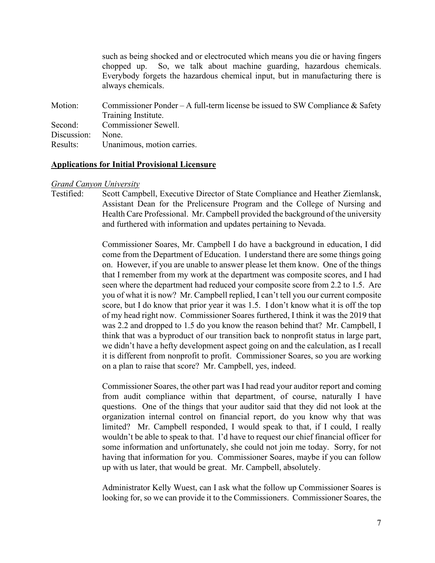such as being shocked and or electrocuted which means you die or having fingers chopped up. So, we talk about machine guarding, hazardous chemicals. Everybody forgets the hazardous chemical input, but in manufacturing there is always chemicals.

Motion: Commissioner Ponder – A full-term license be issued to SW Compliance & Safety Training Institute. Second: Commissioner Sewell. Discussion: None. Results: Unanimous, motion carries.

#### **Applications for Initial Provisional Licensure**

#### *Grand Canyon University*

Testified: Scott Campbell, Executive Director of State Compliance and Heather Ziemlansk, Assistant Dean for the Prelicensure Program and the College of Nursing and Health Care Professional. Mr. Campbell provided the background of the university and furthered with information and updates pertaining to Nevada.

> Commissioner Soares, Mr. Campbell I do have a background in education, I did come from the Department of Education. I understand there are some things going on. However, if you are unable to answer please let them know. One of the things that I remember from my work at the department was composite scores, and I had seen where the department had reduced your composite score from 2.2 to 1.5. Are you of what it is now? Mr. Campbell replied, I can't tell you our current composite score, but I do know that prior year it was 1.5. I don't know what it is off the top of my head right now. Commissioner Soares furthered, I think it was the 2019 that was 2.2 and dropped to 1.5 do you know the reason behind that? Mr. Campbell, I think that was a byproduct of our transition back to nonprofit status in large part, we didn't have a hefty development aspect going on and the calculation, as I recall it is different from nonprofit to profit. Commissioner Soares, so you are working on a plan to raise that score? Mr. Campbell, yes, indeed.

> Commissioner Soares, the other part was I had read your auditor report and coming from audit compliance within that department, of course, naturally I have questions. One of the things that your auditor said that they did not look at the organization internal control on financial report, do you know why that was limited? Mr. Campbell responded, I would speak to that, if I could, I really wouldn't be able to speak to that. I'd have to request our chief financial officer for some information and unfortunately, she could not join me today. Sorry, for not having that information for you. Commissioner Soares, maybe if you can follow up with us later, that would be great. Mr. Campbell, absolutely.

> Administrator Kelly Wuest, can I ask what the follow up Commissioner Soares is looking for, so we can provide it to the Commissioners. Commissioner Soares, the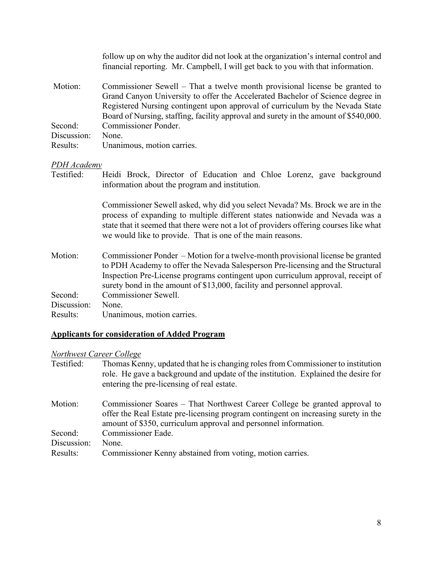|             | follow up on why the auditor did not look at the organization's internal control and<br>financial reporting. Mr. Campbell, I will get back to you with that information.                                                                                                                                                               |
|-------------|----------------------------------------------------------------------------------------------------------------------------------------------------------------------------------------------------------------------------------------------------------------------------------------------------------------------------------------|
| Motion:     | Commissioner Sewell – That a twelve month provisional license be granted to<br>Grand Canyon University to offer the Accelerated Bachelor of Science degree in<br>Registered Nursing contingent upon approval of curriculum by the Nevada State<br>Board of Nursing, staffing, facility approval and surety in the amount of \$540,000. |
| Second:     | Commissioner Ponder.                                                                                                                                                                                                                                                                                                                   |
| Discussion: | None.                                                                                                                                                                                                                                                                                                                                  |
| Results:    | Unanimous, motion carries.                                                                                                                                                                                                                                                                                                             |
| PDH Academy |                                                                                                                                                                                                                                                                                                                                        |
| Testified:  | Heidi Brock, Director of Education and Chloe Lorenz, gave background<br>information about the program and institution.                                                                                                                                                                                                                 |
|             | Commissioner Sewell asked, why did you select Nevada? Ms. Brock we are in the<br>process of expanding to multiple different states nationwide and Nevada was a<br>state that it seemed that there were not a lot of providers offering courses like what<br>we would like to provide. That is one of the main reasons.                 |
| Motion:     | Commissioner Ponder – Motion for a twelve-month provisional license be granted<br>to PDH Academy to offer the Nevada Salesperson Pre-licensing and the Structural<br>Inspection Pre-License programs contingent upon curriculum approval, receipt of<br>surety bond in the amount of \$13,000, facility and personnel approval.        |
| Second:     | Commissioner Sewell.                                                                                                                                                                                                                                                                                                                   |
| Discussion: | None.                                                                                                                                                                                                                                                                                                                                  |
| Results:    | Unanimous, motion carries.                                                                                                                                                                                                                                                                                                             |

# **Applicants for consideration of Added Program**

# *Northwest Career College*

| Testified:  | Thomas Kenny, updated that he is changing roles from Commissioner to institution<br>role. He gave a background and update of the institution. Explained the desire for<br>entering the pre-licensing of real estate.                |
|-------------|-------------------------------------------------------------------------------------------------------------------------------------------------------------------------------------------------------------------------------------|
| Motion:     | Commissioner Soares – That Northwest Career College be granted approval to<br>offer the Real Estate pre-licensing program contingent on increasing surety in the<br>amount of \$350, curriculum approval and personnel information. |
| Second:     | Commissioner Eade.                                                                                                                                                                                                                  |
| Discussion: | None.                                                                                                                                                                                                                               |
| Results:    | Commissioner Kenny abstained from voting, motion carries.                                                                                                                                                                           |